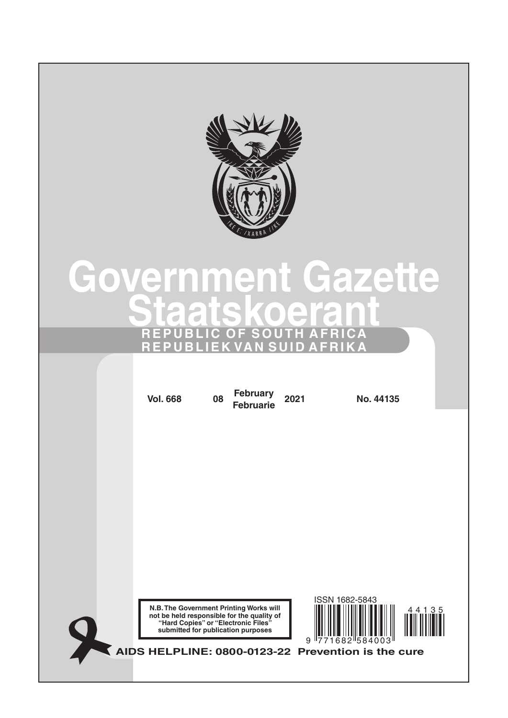

# **Government Gazette Staatskoerant REPUBLIC OF SOUTH AFRICA REPUBLIEK VAN SUID AFRIKA**

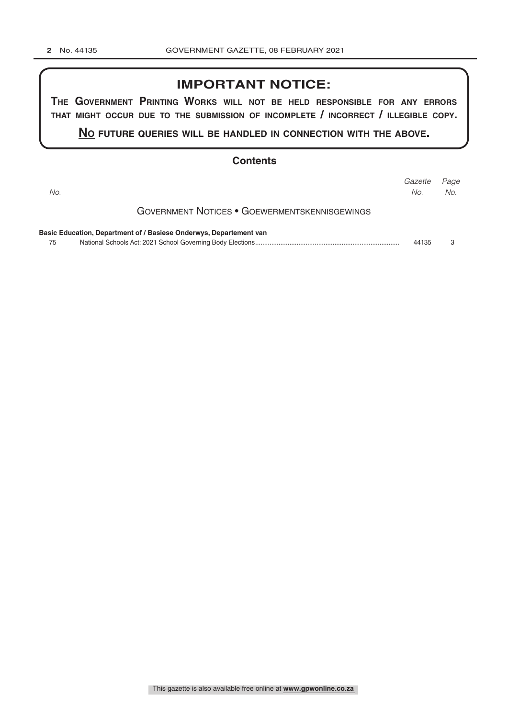## **IMPORTANT NOTICE:**

**The GovernmenT PrinTinG Works Will noT be held resPonsible for any errors ThaT miGhT occur due To The submission of incomPleTe / incorrecT / illeGible coPy.**

**no fuTure queries Will be handled in connecTion WiTh The above.**

#### **Contents**

| No. |                                                                    | Gazette<br>No. | Page<br>No. |
|-----|--------------------------------------------------------------------|----------------|-------------|
|     | <b>GOVERNMENT NOTICES • GOEWERMENTSKENNISGEWINGS</b>               |                |             |
|     | Basic Education, Department of / Basiese Onderwys, Departement van |                |             |
| 75  |                                                                    | 44135          | З           |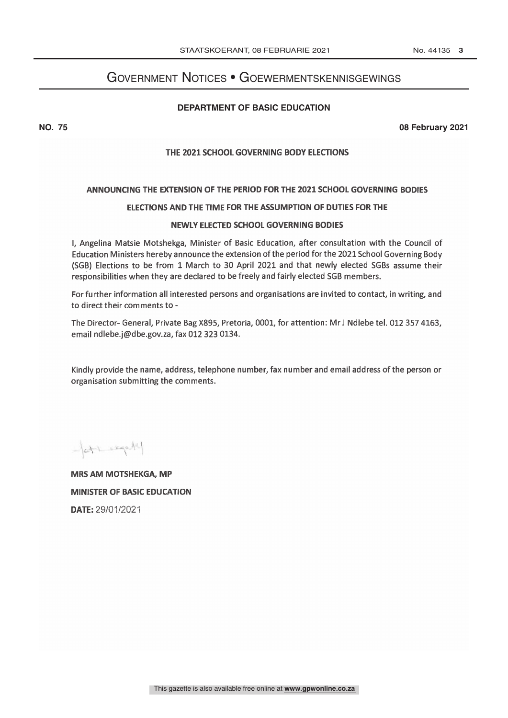## <span id="page-2-0"></span>Government Notices • Goewermentskennisgewings

#### **Department of Basic Education**

**NO. 75 08 February 2021**

### THE 2021 SCHOOL GOVERNING BODY ELECTIONS

#### ANNOUNCING THE EXTENSION OF THE PERIOD FOR THE 2021 SCHOOL GOVERNING BODIES

#### ELECTIONS AND THE TIME FOR THE ASSUMPTION OF DUTIES FOR THE

#### NEWLY ELECTED SCHOOL GOVERNING BODIES

I, Angelina Matsie Motshekga, Minister of Basic Education, after consultation with the Council of Education Ministers hereby announce the extension of the period for the 2021 School Governing Body (SGB) Elections to be from 1 March to 30 April 2021 and that newly elected SGBs assume their responsibilities when they are declared to be freely and fairly elected SGB members.

For further information all interested persons and organisations are invited to contact, in writing, and to direct their comments to -

The Director- General, Private Bag X895, Pretoria, 0001, for attention: Mr J Ndlebe tel. 012 357 4163, email ndlebe.j@dbe.gov.za, fax 012 323 0134.

Kindly provide the name, address, telephone number, fax number and email address of the person or organisation submitting the comments.

 $-671.19044$ 

**MRS AM MOTSHEKGA, MP MINISTER OF BASIC EDUCATION** DATE: 29/01/2021